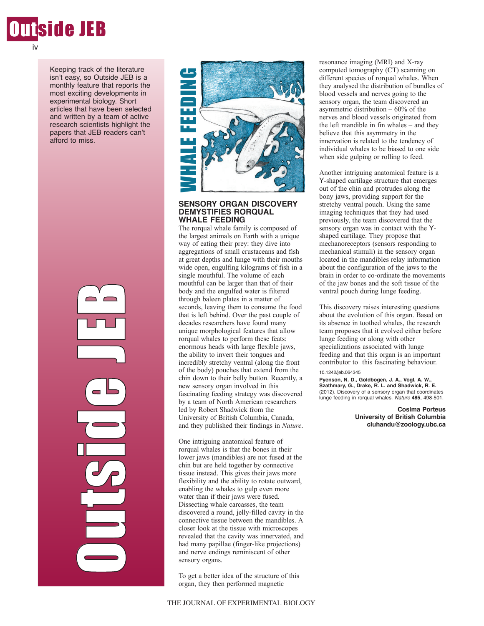

Keeping track of the literature isn't easy, so Outside JEB is a monthly feature that reports the most exciting developments in experimental biology. Short articles that have been selected and written by a team of active research scientists highlight the papers that JEB readers can't afford to miss.





## **SENSORY ORGAN DISCOVERY DEMYSTIFIES RORQUAL WHALE FEEDING**

The rorqual whale family is composed of the largest animals on Earth with a unique way of eating their prey: they dive into aggregations of small crustaceans and fish at great depths and lunge with their mouths wide open, engulfing kilograms of fish in a single mouthful. The volume of each mouthful can be larger than that of their body and the engulfed water is filtered through baleen plates in a matter of seconds, leaving them to consume the food that is left behind. Over the past couple of decades researchers have found many unique morphological features that allow rorqual whales to perform these feats: enormous heads with large flexible jaws, the ability to invert their tongues and incredibly stretchy ventral (along the front of the body) pouches that extend from the chin down to their belly button. Recently, a new sensory organ involved in this fascinating feeding strategy was discovered by a team of North American researchers led by Robert Shadwick from the University of British Columbia, Canada, and they published their findings in *Nature*. **EXERCT AND THANGE THE SERVER AND SERVERT THES RORQUAL WHALE FEEDING THE REFORMAT THE TOTOUT THE DRIGHT THE TOTOUT THE TOTOUT THE DRIGHT THE TOTOUT COUNT OF CHIRAL THE TOTOUT (WHALE THE PERFORMAT was of cating the magnet d** 

One intriguing anatomical feature of rorqual whales is that the bones in their lower jaws (mandibles) are not fused at the chin but are held together by connective tissue instead. This gives their jaws more flexibility and the ability to rotate outward, enabling the whales to gulp even more water than if their jaws were fused. Dissecting whale carcasses, the team discovered a round, jelly-filled cavity in the connective tissue between the mandibles. A closer look at the tissue with microscopes revealed that the cavity was innervated, and had many papillae (finger-like projections) and nerve endings reminiscent of other sensory organs.

To get a better idea of the structure of this

resonance imaging (MRI) and X-ray computed tomography (CT) scanning on different species of rorqual whales. When they analysed the distribution of bundles of blood vessels and nerves going to the sensory organ, the team discovered an asymmetric distribution  $-60\%$  of the nerves and blood vessels originated from the left mandible in fin whales – and they believe that this asymmetry in the innervation is related to the tendency of individual whales to be biased to one side when side gulping or rolling to feed.

Another intriguing anatomical feature is a Y-shaped cartilage structure that emerges out of the chin and protrudes along the bony jaws, providing support for the stretchy ventral pouch. Using the same imaging techniques that they had used previously, the team discovered that the sensory organ was in contact with the Yshaped cartilage. They propose that mechanoreceptors (sensors responding to mechanical stimuli) in the sensory organ located in the mandibles relay information about the configuration of the jaws to the brain in order to co-ordinate the movements of the jaw bones and the soft tissue of the ventral pouch during lunge feeding.

This discovery raises interesting questions about the evolution of this organ. Based on its absence in toothed whales, the research team proposes that it evolved either before lunge feeding or along with other specializations associated with lunge feeding and that this organ is an important contributor to this fascinating behaviour.

10.1242/jeb.064345

**Pyenson, N. D., Goldbogen, J. A., Vogl, A. W., Szathmary, G., Drake, R. L. and Shadwick, R. E.** (2012). Discovery of a sensory organ that coordinates lunge feeding in rorqual whales. *Nature* **485**, 498-501.

> **Cosima Porteus University of British Columbia ciuhandu@zoology.ubc.ca**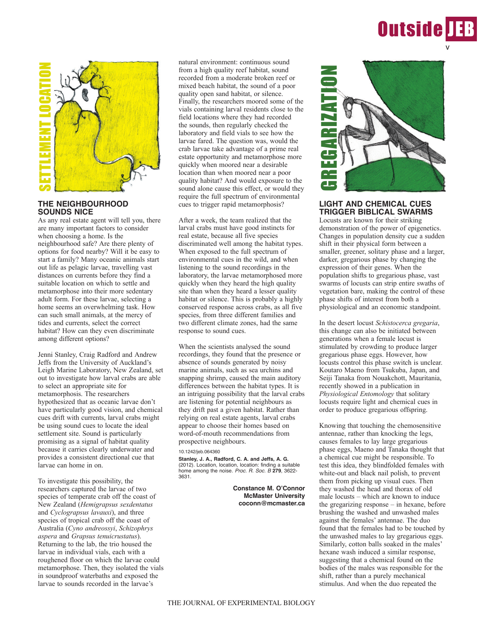



# **THE NEIGHBOURHOOD SOUNDS NICE**

As any real estate agent will tell you, there are many important factors to consider when choosing a home. Is the neighbourhood safe? Are there plenty of options for food nearby? Will it be easy to start a family? Many oceanic animals start out life as pelagic larvae, travelling vast distances on currents before they find a suitable location on which to settle and metamorphose into their more sedentary adult form. For these larvae, selecting a home seems an overwhelming task. How can such small animals, at the mercy of tides and currents, select the correct habitat? How can they even discriminate among different options?

Jenni Stanley, Craig Radford and Andrew Jeffs from the University of Auckland's Leigh Marine Laboratory, New Zealand, set out to investigate how larval crabs are able to select an appropriate site for metamorphosis. The researchers hypothesized that as oceanic larvae don't have particularly good vision, and chemical cues drift with currents, larval crabs might be using sound cues to locate the ideal settlement site. Sound is particularly promising as a signal of habitat quality because it carries clearly underwater and provides a consistent directional cue that larvae can home in on.

To investigate this possibility, the researchers captured the larvae of two species of temperate crab off the coast of New Zealand (*Hemigrapsus sexdentatus* and *Cyclograpsus lavauxi*), and three species of tropical crab off the coast of Australia (*Cyno andreossyi*, *Schizophrys aspera* and *Grapsus tenuicrustatus*). Returning to the lab, the trio housed the larvae in individual vials, each with a roughened floor on which the larvae could metamorphose. Then, they isolated the vials in soundproof waterbaths and exposed the larvae to sounds recorded in the larvae's

natural environment: continuous sound from a high quality reef habitat, sound recorded from a moderate broken reef or mixed beach habitat, the sound of a poor quality open sand habitat, or silence. Finally, the researchers moored some of the vials containing larval residents close to the field locations where they had recorded the sounds, then regularly checked the laboratory and field vials to see how the larvae fared. The question was, would the crab larvae take advantage of a prime real estate opportunity and metamorphose more quickly when moored near a desirable location than when moored near a poor quality habitat? And would exposure to the sound alone cause this effect, or would they require the full spectrum of environmental cues to trigger rapid metamorphosis?

After a week, the team realized that the larval crabs must have good instincts for real estate, because all five species discriminated well among the habitat types. When exposed to the full spectrum of environmental cues in the wild, and when listening to the sound recordings in the laboratory, the larvae metamorphosed more quickly when they heard the high quality site than when they heard a lesser quality habitat or silence. This is probably a highly conserved response across crabs, as all five species, from three different families and two different climate zones, had the same response to sound cues.

When the scientists analysed the sound recordings, they found that the presence or absence of sounds generated by noisy marine animals, such as sea urchins and snapping shrimp, caused the main auditory differences between the habitat types. It is an intriguing possibility that the larval crabs are listening for potential neighbours as they drift past a given habitat. Rather than relying on real estate agents, larval crabs appear to choose their homes based on word-of-mouth recommendations from prospective neighbours.

## 10.1242/jeb.064360

**Stanley, J. A., Radford, C. A. and Jeffs, A. G.** (2012). Location, location, location: finding a suitable home among the noise. *Proc. R. Soc. B* **279**, 3622- 3631.

> **Constance M. O'Connor McMaster University coconn@mcmaster.ca**



## **LIGHT AND CHEMICAL CUES TRIGGER BIBLICAL SWARMS**

Locusts are known for their striking demonstration of the power of epigenetics. Changes in population density cue a sudden shift in their physical form between a smaller, greener, solitary phase and a larger, darker, gregarious phase by changing the expression of their genes. When the population shifts to gregarious phase, vast swarms of locusts can strip entire swaths of vegetation bare, making the control of these phase shifts of interest from both a physiological and an economic standpoint.

In the desert locust *Schistocerca gregaria*, this change can also be initiated between generations when a female locust is stimulated by crowding to produce larger gregarious phase eggs. However, how locusts control this phase switch is unclear. Koutaro Maeno from Tsukuba, Japan, and Seiji Tanaka from Nouakchott, Mauritania, recently showed in a publication in *Physiological Entomology* that solitary locusts require light and chemical cues in order to produce gregarious offspring.

Knowing that touching the chemosensitive antennae, rather than knocking the legs, causes females to lay large gregarious phase eggs, Maeno and Tanaka thought that a chemical cue might be responsible. To test this idea, they blindfolded females with white-out and black nail polish, to prevent them from picking up visual cues. Then they washed the head and thorax of old male locusts – which are known to induce the gregarizing response – in hexane, before brushing the washed and unwashed males against the females' antennae. The duo found that the females had to be touched by the unwashed males to lay gregarious eggs. Similarly, cotton balls soaked in the males' hexane wash induced a similar response, suggesting that a chemical found on the bodies of the males was responsible for the shift, rather than a purely mechanical stimulus. And when the duo repeated the